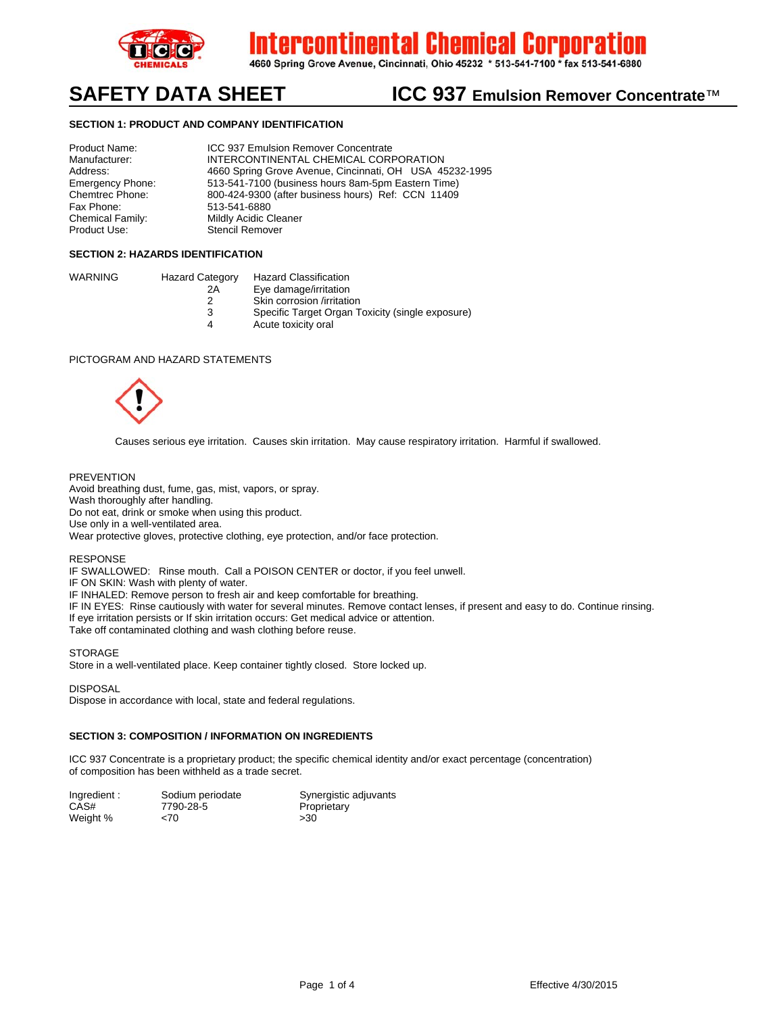

ercontinental Chemical Corpora

4660 Spring Grove Avenue, Cincinnati, Ohio 45232 \* 513-541-7100 \* fax 513-541-6880

# SAFETY DATA SHEET **ICC 937 Emulsion Remover Concentrate<sup>™</sup>**

### **SECTION 1: PRODUCT AND COMPANY IDENTIFICATION**

Product Name: ICC 937 Emulsion Remover Concentrate Manufacturer: INTERCONTINENTAL CHEMICAL CORPORATION Address: 4660 Spring Grove Avenue, Cincinnati, OH USA 45232-1995<br>Emergency Phone: 513-541-7100 (business hours 8am-5pm Eastern Time) 513-541-7100 (business hours 8am-5pm Eastern Time) Chemtrec Phone: 800-424-9300 (after business hours) Ref: CCN 11409 Fax Phone: 513-541-6880 Chemical Family: Mildly Acidic Cleaner<br>
Product Use: Stencil Remover Stencil Remover

#### **SECTION 2: HAZARDS IDENTIFICATION**

| WARNING | <b>Hazard Category</b> | Hazard Classification                            |
|---------|------------------------|--------------------------------------------------|
|         | 2A                     | Eye damage/irritation                            |
|         |                        | Skin corrosion /irritation                       |
|         |                        | Specific Target Organ Toxicity (single exposure) |

4 Acute toxicity oral

#### PICTOGRAM AND HAZARD STATEMENTS



Causes serious eye irritation. Causes skin irritation. May cause respiratory irritation. Harmful if swallowed.

#### PREVENTION

Avoid breathing dust, fume, gas, mist, vapors, or spray. Wash thoroughly after handling. Do not eat, drink or smoke when using this product. Use only in a well-ventilated area. Wear protective gloves, protective clothing, eye protection, and/or face protection.

#### RESPONSE

IF SWALLOWED: Rinse mouth. Call a POISON CENTER or doctor, if you feel unwell.

IF ON SKIN: Wash with plenty of water.

IF INHALED: Remove person to fresh air and keep comfortable for breathing.

IF IN EYES: Rinse cautiously with water for several minutes. Remove contact lenses, if present and easy to do. Continue rinsing. If eye irritation persists or If skin irritation occurs: Get medical advice or attention.

Take off contaminated clothing and wash clothing before reuse.

#### **STORAGE**

Store in a well-ventilated place. Keep container tightly closed. Store locked up.

DISPOSAL

Dispose in accordance with local, state and federal regulations.

#### **SECTION 3: COMPOSITION / INFORMATION ON INGREDIENTS**

ICC 937 Concentrate is a proprietary product; the specific chemical identity and/or exact percentage (concentration) of composition has been withheld as a trade secret.

| Ingredient: | Sodium periodate | Synergistic adjuvants |
|-------------|------------------|-----------------------|
| CAS#        | 7790-28-5        | Proprietary           |
| Weight %    | ~5               | >30                   |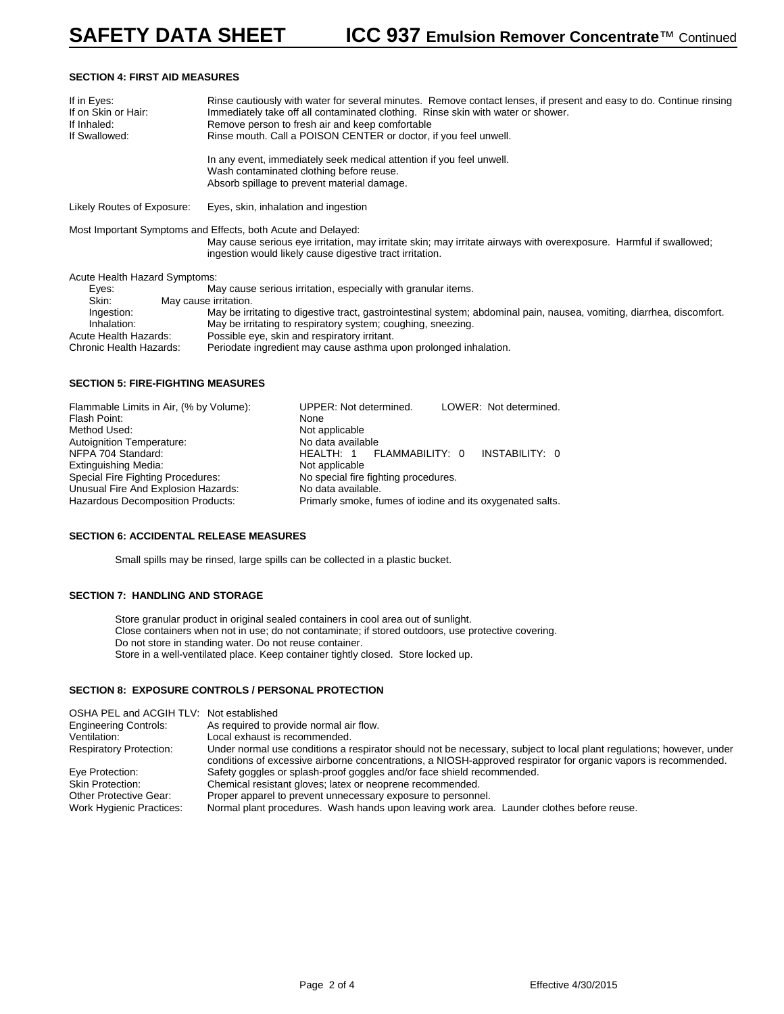#### **SECTION 4: FIRST AID MEASURES**

| If in Eyes:<br>If on Skin or Hair:<br>If Inhaled:<br>If Swallowed:     |  | Rinse cautiously with water for several minutes. Remove contact lenses, if present and easy to do. Continue rinsing<br>Immediately take off all contaminated clothing. Rinse skin with water or shower.<br>Remove person to fresh air and keep comfortable<br>Rinse mouth. Call a POISON CENTER or doctor, if you feel unwell. |  |
|------------------------------------------------------------------------|--|--------------------------------------------------------------------------------------------------------------------------------------------------------------------------------------------------------------------------------------------------------------------------------------------------------------------------------|--|
|                                                                        |  | In any event, immediately seek medical attention if you feel unwell.<br>Wash contaminated clothing before reuse.<br>Absorb spillage to prevent material damage.                                                                                                                                                                |  |
| Likely Routes of Exposure:<br>Eyes, skin, inhalation and ingestion     |  |                                                                                                                                                                                                                                                                                                                                |  |
|                                                                        |  | Most Important Symptoms and Effects, both Acute and Delayed:<br>May cause serious eye irritation, may irritate skin; may irritate airways with overexposure. Harmful if swallowed;<br>ingestion would likely cause digestive tract irritation.                                                                                 |  |
| Acute Health Hazard Symptoms:                                          |  |                                                                                                                                                                                                                                                                                                                                |  |
| May cause serious irritation, especially with granular items.<br>Eyes: |  |                                                                                                                                                                                                                                                                                                                                |  |
| Skin:                                                                  |  | May cause irritation.                                                                                                                                                                                                                                                                                                          |  |
| Ingestion:<br>Inhalation:                                              |  | May be irritating to digestive tract, gastrointestinal system; abdominal pain, nausea, vomiting, diarrhea, discomfort.<br>May be irritating to respiratory system; coughing, sneezing.                                                                                                                                         |  |

Acute Health Hazards: Possible eye, skin and respiratory irritant.

Chronic Health Hazards: Periodate ingredient may cause asthma upon prolonged inhalation.

#### **SECTION 5: FIRE-FIGHTING MEASURES**

| Flammable Limits in Air, (% by Volume): | LOWER: Not determined.<br>UPPER: Not determined.          |  |  |
|-----------------------------------------|-----------------------------------------------------------|--|--|
| Flash Point:                            | None                                                      |  |  |
| Method Used:                            | Not applicable                                            |  |  |
| Autoignition Temperature:               | No data available                                         |  |  |
| NFPA 704 Standard:                      | INSTABILITY: 0<br>HEALTH: 1 FLAMMABILITY: 0               |  |  |
| Extinguishing Media:                    | Not applicable                                            |  |  |
| Special Fire Fighting Procedures:       | No special fire fighting procedures.                      |  |  |
| Unusual Fire And Explosion Hazards:     | No data available.                                        |  |  |
| Hazardous Decomposition Products:       | Primarly smoke, fumes of iodine and its oxygenated salts. |  |  |

#### **SECTION 6: ACCIDENTAL RELEASE MEASURES**

Small spills may be rinsed, large spills can be collected in a plastic bucket.

#### **SECTION 7: HANDLING AND STORAGE**

Store granular product in original sealed containers in cool area out of sunlight. Close containers when not in use; do not contaminate; if stored outdoors, use protective covering. Do not store in standing water. Do not reuse container. Store in a well-ventilated place. Keep container tightly closed. Store locked up.

#### **SECTION 8: EXPOSURE CONTROLS / PERSONAL PROTECTION**

| OSHA PEL and ACGIH TLV: Not established |                                                                                                                                                                                                                                         |
|-----------------------------------------|-----------------------------------------------------------------------------------------------------------------------------------------------------------------------------------------------------------------------------------------|
| Engineering Controls:                   | As required to provide normal air flow.                                                                                                                                                                                                 |
| Ventilation:                            | Local exhaust is recommended.                                                                                                                                                                                                           |
| <b>Respiratory Protection:</b>          | Under normal use conditions a respirator should not be necessary, subject to local plant regulations; however, under<br>conditions of excessive airborne concentrations, a NIOSH-approved respirator for organic vapors is recommended. |
| Eye Protection:                         | Safety goggles or splash-proof goggles and/or face shield recommended.                                                                                                                                                                  |
| <b>Skin Protection:</b>                 | Chemical resistant gloves; latex or neoprene recommended.                                                                                                                                                                               |
| <b>Other Protective Gear:</b>           | Proper apparel to prevent unnecessary exposure to personnel.                                                                                                                                                                            |
| <b>Work Hygienic Practices:</b>         | Normal plant procedures. Wash hands upon leaving work area. Launder clothes before reuse.                                                                                                                                               |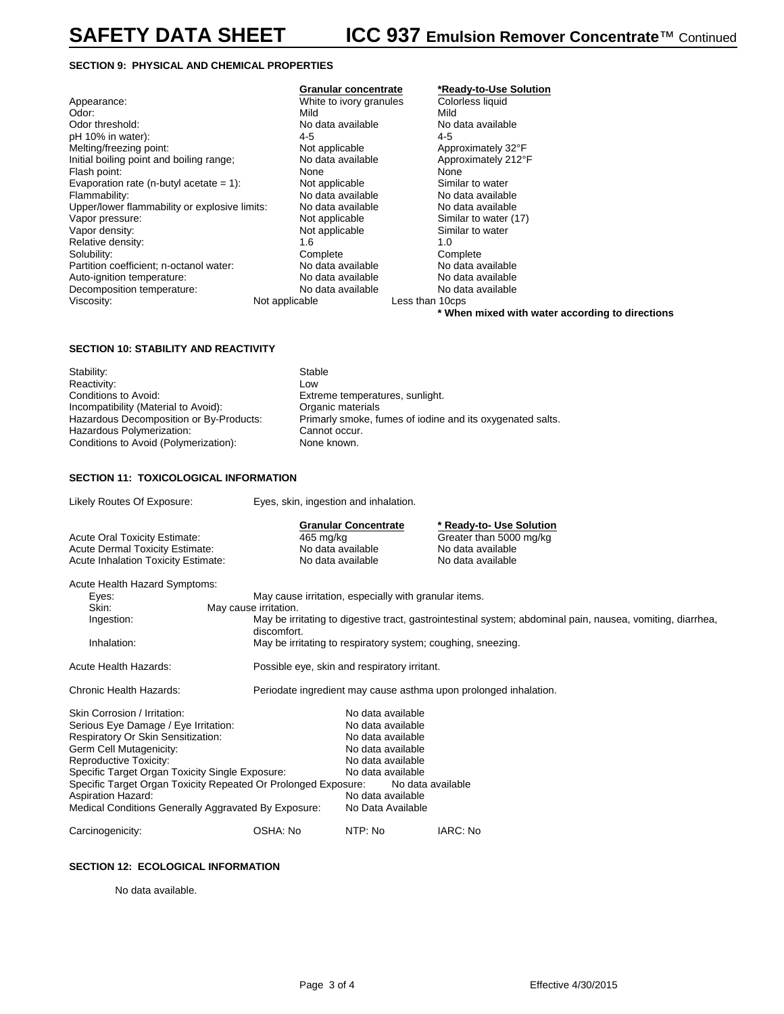#### **SECTION 9: PHYSICAL AND CHEMICAL PROPERTIES**

|                                               |                         | .               |
|-----------------------------------------------|-------------------------|-----------------|
| Appearance:                                   | White to ivory granules | Color           |
| Odor:                                         | Mild                    | Mild            |
| Odor threshold:                               | No data available       | No da           |
| pH 10% in water):                             | 4-5                     | 4-5             |
| Melting/freezing point:                       | Not applicable          | Appro           |
| Initial boiling point and boiling range;      | No data available       | Appro           |
| Flash point:                                  | None                    | None            |
| Evaporation rate (n-butyl acetate = $1$ ):    | Not applicable          | Simila          |
| Flammability:                                 | No data available       | No da           |
| Upper/lower flammability or explosive limits: | No data available       | No da           |
| Vapor pressure:                               | Not applicable          | Simila          |
| Vapor density:                                | Not applicable          | Simila          |
| Relative density:                             | 1.6                     | 1.O             |
| Solubility:                                   | Complete                | Comp            |
| Partition coefficient; n-octanol water:       | No data available       | No da           |
| Auto-ignition temperature:                    | No data available       | No da           |
| Decomposition temperature:                    | No data available       | No da           |
| Viscosity:                                    | Not applicable          | Less than 10cp: |
|                                               |                         |                 |

## White to ivory granules Colorless liquid<br>Mild Mild No data available **No data available** No data available Mot applicable and the Approximately 32°F<br>No data available Approximately 212°I Not applicable  $\qquad \qquad$  Similar to water No data available No data available<br>No data available No data available No data available<br>Not applicable Not applicable Complete Complete<br>
No data available No data available Partition coefficients; No data available<br>No data available No data available No data available <br>No data available No data available No data available applicable Less than 10cps

# **Granular concentrate \*Ready-to-Use Solution** Approximately 212°F Similar to water (17)<br>Similar to water

**\* When mixed with water according to directions**

## **SECTION 10: STABILITY AND REACTIVITY**

| Stability:                              | Stable                                                    |
|-----------------------------------------|-----------------------------------------------------------|
| Reactivity:                             | Low                                                       |
| Conditions to Avoid:                    | Extreme temperatures, sunlight.                           |
| Incompatibility (Material to Avoid):    | Organic materials                                         |
| Hazardous Decomposition or By-Products: | Primarly smoke, fumes of iodine and its oxygenated salts. |
| Hazardous Polymerization:               | Cannot occur.                                             |
| Conditions to Avoid (Polymerization):   | None known.                                               |
|                                         |                                                           |

#### **SECTION 11: TOXICOLOGICAL INFORMATION**

| Likely Routes Of Exposure:                                                                                                                                                                                                                                                                                                                                                | Eyes, skin, ingestion and inhalation.               |                                                                                                                                                                                                                                     |                                                                                               |  |
|---------------------------------------------------------------------------------------------------------------------------------------------------------------------------------------------------------------------------------------------------------------------------------------------------------------------------------------------------------------------------|-----------------------------------------------------|-------------------------------------------------------------------------------------------------------------------------------------------------------------------------------------------------------------------------------------|-----------------------------------------------------------------------------------------------|--|
| <b>Acute Oral Toxicity Estimate:</b><br><b>Acute Dermal Toxicity Estimate:</b><br><b>Acute Inhalation Toxicity Estimate:</b>                                                                                                                                                                                                                                              | 465 mg/kg<br>No data available<br>No data available | <b>Granular Concentrate</b>                                                                                                                                                                                                         | * Ready-to- Use Solution<br>Greater than 5000 mg/kg<br>No data available<br>No data available |  |
| Acute Health Hazard Symptoms:<br>Eyes:<br>Skin:<br>May cause irritation.<br>Ingestion:<br>discomfort.<br>Inhalation:                                                                                                                                                                                                                                                      |                                                     | May cause irritation, especially with granular items.<br>May be irritating to digestive tract, gastrointestinal system; abdominal pain, nausea, vomiting, diarrhea,<br>May be irritating to respiratory system; coughing, sneezing. |                                                                                               |  |
| <b>Acute Health Hazards:</b>                                                                                                                                                                                                                                                                                                                                              |                                                     | Possible eye, skin and respiratory irritant.                                                                                                                                                                                        |                                                                                               |  |
| Chronic Health Hazards:                                                                                                                                                                                                                                                                                                                                                   |                                                     |                                                                                                                                                                                                                                     | Periodate ingredient may cause asthma upon prolonged inhalation.                              |  |
| Skin Corrosion / Irritation:<br>Serious Eye Damage / Eye Irritation:<br>Respiratory Or Skin Sensitization:<br>Germ Cell Mutagenicity:<br>Reproductive Toxicity:<br>Specific Target Organ Toxicity Single Exposure:<br>Specific Target Organ Toxicity Repeated Or Prolonged Exposure:<br><b>Aspiration Hazard:</b><br>Medical Conditions Generally Aggravated By Exposure: |                                                     | No data available<br>No data available<br>No data available<br>No data available<br>No data available<br>No data available<br>No data available<br>No data available<br>No Data Available                                           |                                                                                               |  |
| Carcinogenicity:                                                                                                                                                                                                                                                                                                                                                          | OSHA: No                                            | NTP: No                                                                                                                                                                                                                             | IARC: No                                                                                      |  |

#### **SECTION 12: ECOLOGICAL INFORMATION**

No data available.